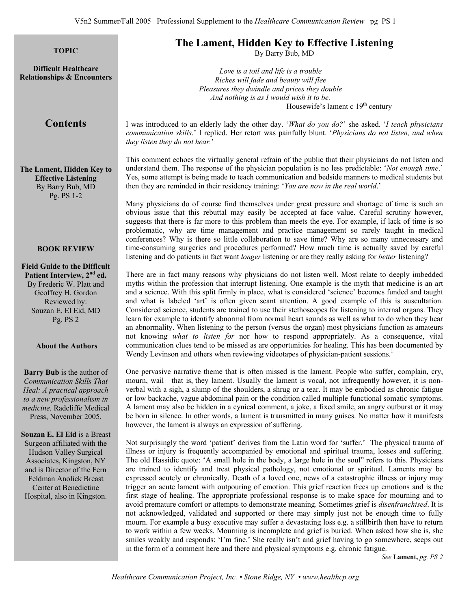**Difficult Healthcare Relationships & Encounters**

# **The Lament, Hidden Key to Effective Listening**<br>TOPIC **TOPIC**

By Barry Bub, MD

*Love is a toil and life is a trouble Riches will fade and beauty will flee Pleasures they dwindle and prices they double And nothing is as I would wish it to be.*  Housewife's lament c  $19<sup>th</sup>$  century

## **Contents**

I was introduced to an elderly lady the other day. '*What do you do?*' she asked. '*I teach physicians communication skills*.' I replied. Her retort was painfully blunt. '*Physicians do not listen, and when they listen they do not hear.*'

**The Lament, Hidden Key to Effective Listening**  By Barry Bub, MD Pg. PS 1-2

This comment echoes the virtually general refrain of the public that their physicians do not listen and understand them. The response of the physician population is no less predictable: '*Not enough time*.' Yes, some attempt is being made to teach communication and bedside manners to medical students but then they are reminded in their residency training: '*You are now in the real world*.'

Many physicians do of course find themselves under great pressure and shortage of time is such an obvious issue that this rebuttal may easily be accepted at face value. Careful scrutiny however, suggests that there is far more to this problem than meets the eye. For example, if lack of time is so problematic, why are time management and practice management so rarely taught in medical conferences? Why is there so little collaboration to save time? Why are so many unnecessary and time-consuming surgeries and procedures performed? How much time is actually saved by careful listening and do patients in fact want *longer* listening or are they really asking for *better* listening?

There are in fact many reasons why physicians do not listen well. Most relate to deeply imbedded myths within the profession that interrupt listening. One example is the myth that medicine is an art and a science. With this split firmly in place, what is considered 'science' becomes funded and taught and what is labeled 'art' is often given scant attention. A good example of this is auscultation. Considered science, students are trained to use their stethoscopes for listening to internal organs. They learn for example to identify abnormal from normal heart sounds as well as what to do when they hear an abnormality. When listening to the person (versus the organ) most physicians function as amateurs not knowing *what to listen for* nor how to respond appropriately. As a consequence, vital communication clues tend to be missed as are opportunities for healing. This has been documented by Wendy Levinson and others when reviewing videotapes of physician-patient sessions.<sup>1</sup>

One pervasive narrative theme that is often missed is the lament. People who suffer, complain, cry, mourn, wail—that is, they lament. Usually the lament is vocal, not infrequently however, it is nonverbal with a sigh, a slump of the shoulders, a shrug or a tear. It may be embodied as chronic fatigue or low backache, vague abdominal pain or the condition called multiple functional somatic symptoms. A lament may also be hidden in a cynical comment, a joke, a fixed smile, an angry outburst or it may be born in silence. In other words, a lament is transmitted in many guises. No matter how it manifests however, the lament is always an expression of suffering.

Not surprisingly the word 'patient' derives from the Latin word for 'suffer.' The physical trauma of illness or injury is frequently accompanied by emotional and spiritual trauma, losses and suffering. The old Hassidic quote: 'A small hole in the body, a large hole in the soul" refers to this. Physicians are trained to identify and treat physical pathology, not emotional or spiritual. Laments may be expressed acutely or chronically. Death of a loved one, news of a catastrophic illness or injury may trigger an acute lament with outpouring of emotion. This grief reaction frees up emotions and is the first stage of healing. The appropriate professional response is to make space for mourning and to avoid premature comfort or attempts to demonstrate meaning. Sometimes grief is *disenfranchised*. It is not acknowledged, validated and supported or there may simply just not be enough time to fully mourn. For example a busy executive may suffer a devastating loss e.g. a stillbirth then have to return to work within a few weeks. Mourning is incomplete and grief is buried. When asked how she is, she smiles weakly and responds: 'I'm fine.' She really isn't and grief having to go somewhere, seeps out in the form of a comment here and there and physical symptoms e.g. chronic fatigue.

*See* **Lament,** *pg. PS 2* 

#### **BOOK REVIEW**

**Field Guide to the Difficult Patient Interview, 2nd ed.** By Frederic W. Platt and Geoffrey H. Gordon Reviewed by: Souzan E. El Eid, MD Pg. PS 2

#### **About the Authors**

**Barry Bub** is the author of *Communication Skills That Heal: A practical approach to a new professionalism in medicine.* Radcliffe Medical Press, November 2005.

**Souzan E. El Eid** is a Breast Surgeon affiliated with the Hudson Valley Surgical Associates, Kingston, NY and is Director of the Fern Feldman Anolick Breast Center at Benedictine Hospital, also in Kingston.